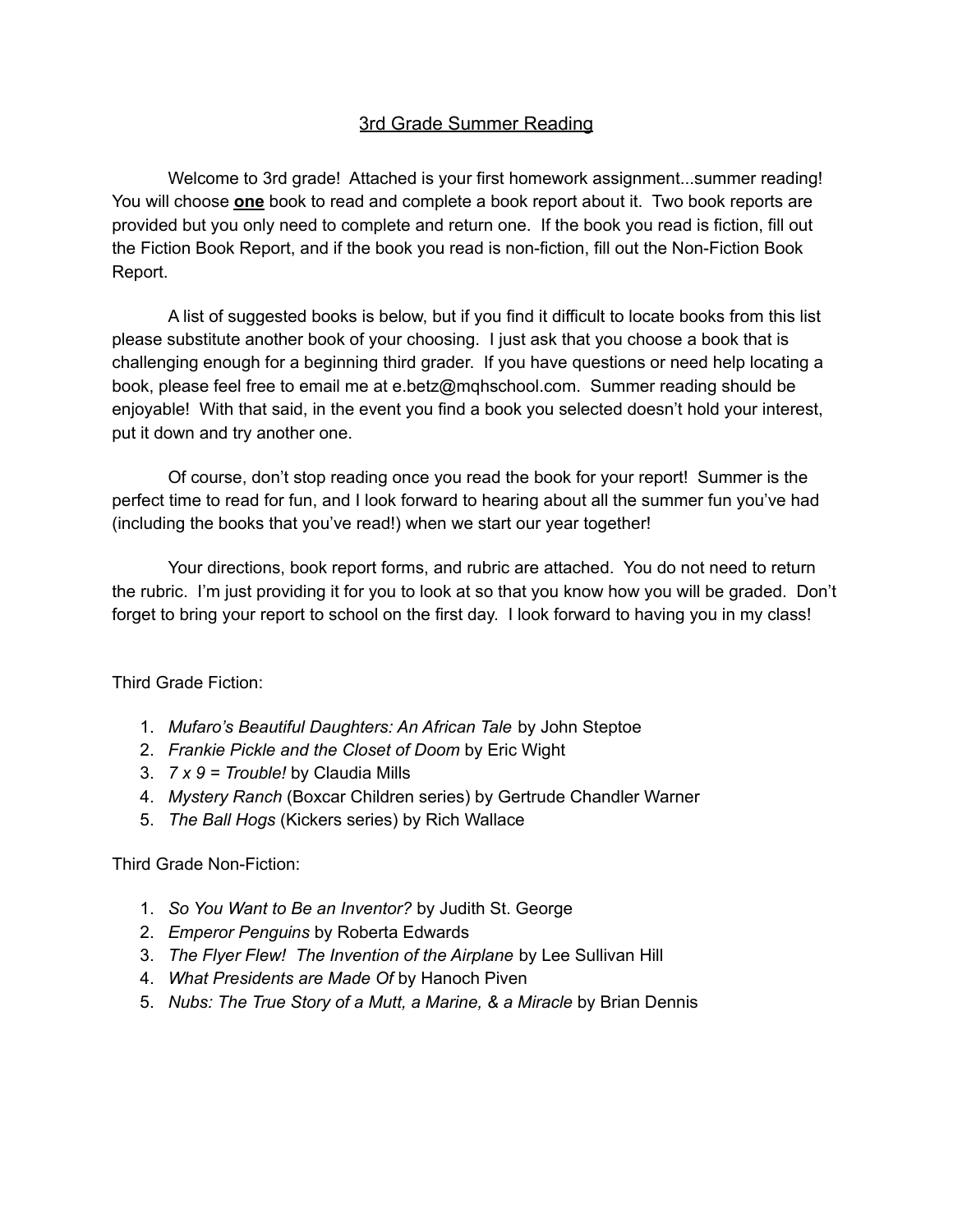#### 3rd Grade Summer Reading

Welcome to 3rd grade! Attached is your first homework assignment...summer reading! You will choose **one** book to read and complete a book report about it. Two book reports are provided but you only need to complete and return one. If the book you read is fiction, fill out the Fiction Book Report, and if the book you read is non-fiction, fill out the Non-Fiction Book Report.

A list of suggested books is below, but if you find it difficult to locate books from this list please substitute another book of your choosing. I just ask that you choose a book that is challenging enough for a beginning third grader. If you have questions or need help locating a book, please feel free to email me at e.betz@mqhschool.com. Summer reading should be enjoyable! With that said, in the event you find a book you selected doesn't hold your interest, put it down and try another one.

Of course, don't stop reading once you read the book for your report! Summer is the perfect time to read for fun, and I look forward to hearing about all the summer fun you've had (including the books that you've read!) when we start our year together!

Your directions, book report forms, and rubric are attached. You do not need to return the rubric. I'm just providing it for you to look at so that you know how you will be graded. Don't forget to bring your report to school on the first day. I look forward to having you in my class!

Third Grade Fiction:

- 1. *Mufaro's Beautiful Daughters: An African Tale* by John Steptoe
- 2. *Frankie Pickle and the Closet of Doom* by Eric Wight
- 3. *7 x 9 = Trouble!* by Claudia Mills
- 4. *Mystery Ranch* (Boxcar Children series) by Gertrude Chandler Warner
- 5. *The Ball Hogs* (Kickers series) by Rich Wallace

Third Grade Non-Fiction:

- 1. *So You Want to Be an Inventor?* by Judith St. George
- 2. *Emperor Penguins* by Roberta Edwards
- 3. *The Flyer Flew! The Invention of the Airplane* by Lee Sullivan Hill
- 4. *What Presidents are Made Of* by Hanoch Piven
- 5. *Nubs: The True Story of a Mutt, a Marine, & a Miracle* by Brian Dennis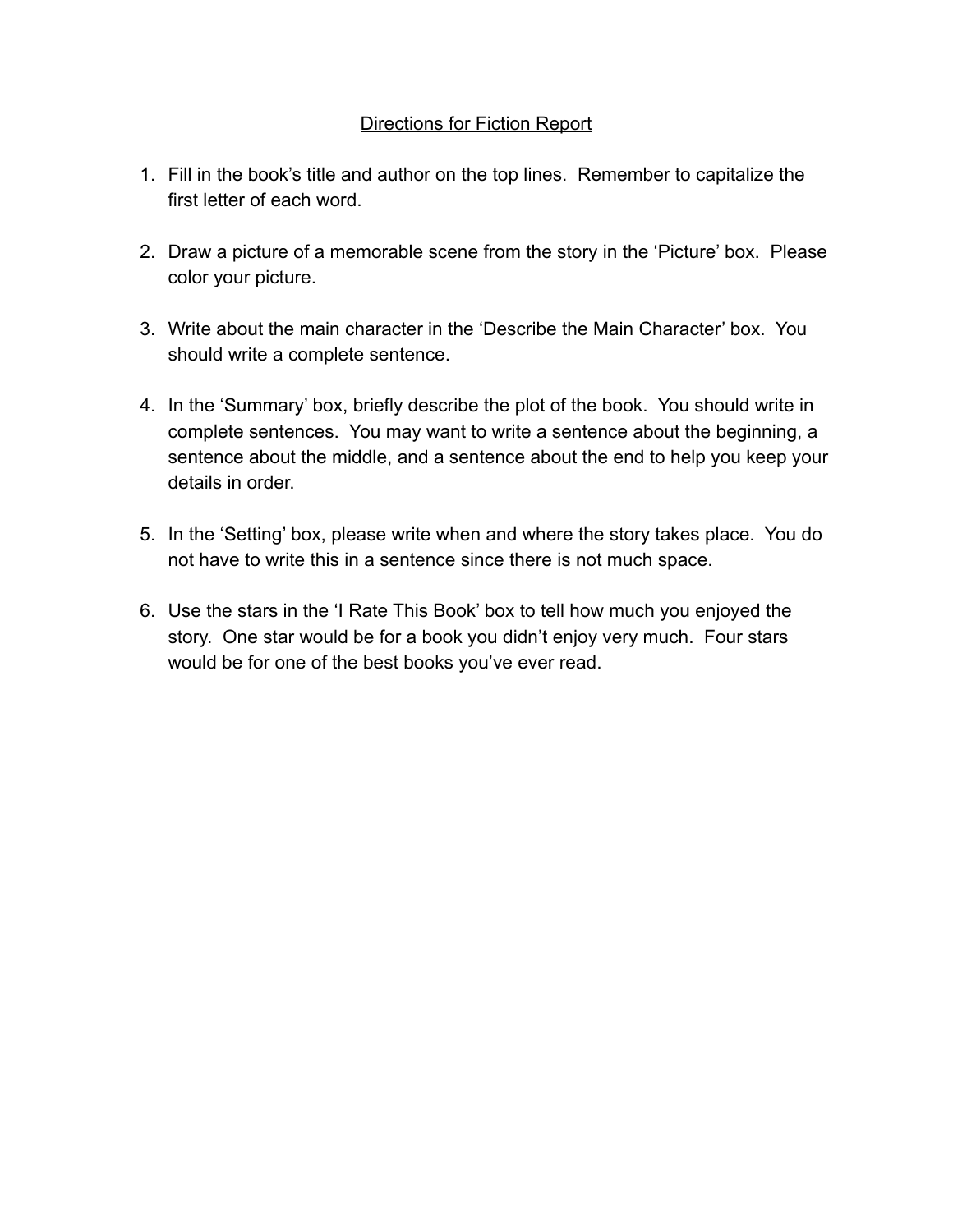## Directions for Fiction Report

- 1. Fill in the book's title and author on the top lines. Remember to capitalize the first letter of each word.
- 2. Draw a picture of a memorable scene from the story in the 'Picture' box. Please color your picture.
- 3. Write about the main character in the 'Describe the Main Character' box. You should write a complete sentence.
- 4. In the 'Summary' box, briefly describe the plot of the book. You should write in complete sentences. You may want to write a sentence about the beginning, a sentence about the middle, and a sentence about the end to help you keep your details in order
- 5. In the 'Setting' box, please write when and where the story takes place. You do not have to write this in a sentence since there is not much space.
- 6. Use the stars in the 'I Rate This Book' box to tell how much you enjoyed the story. One star would be for a book you didn't enjoy very much. Four stars would be for one of the best books you've ever read.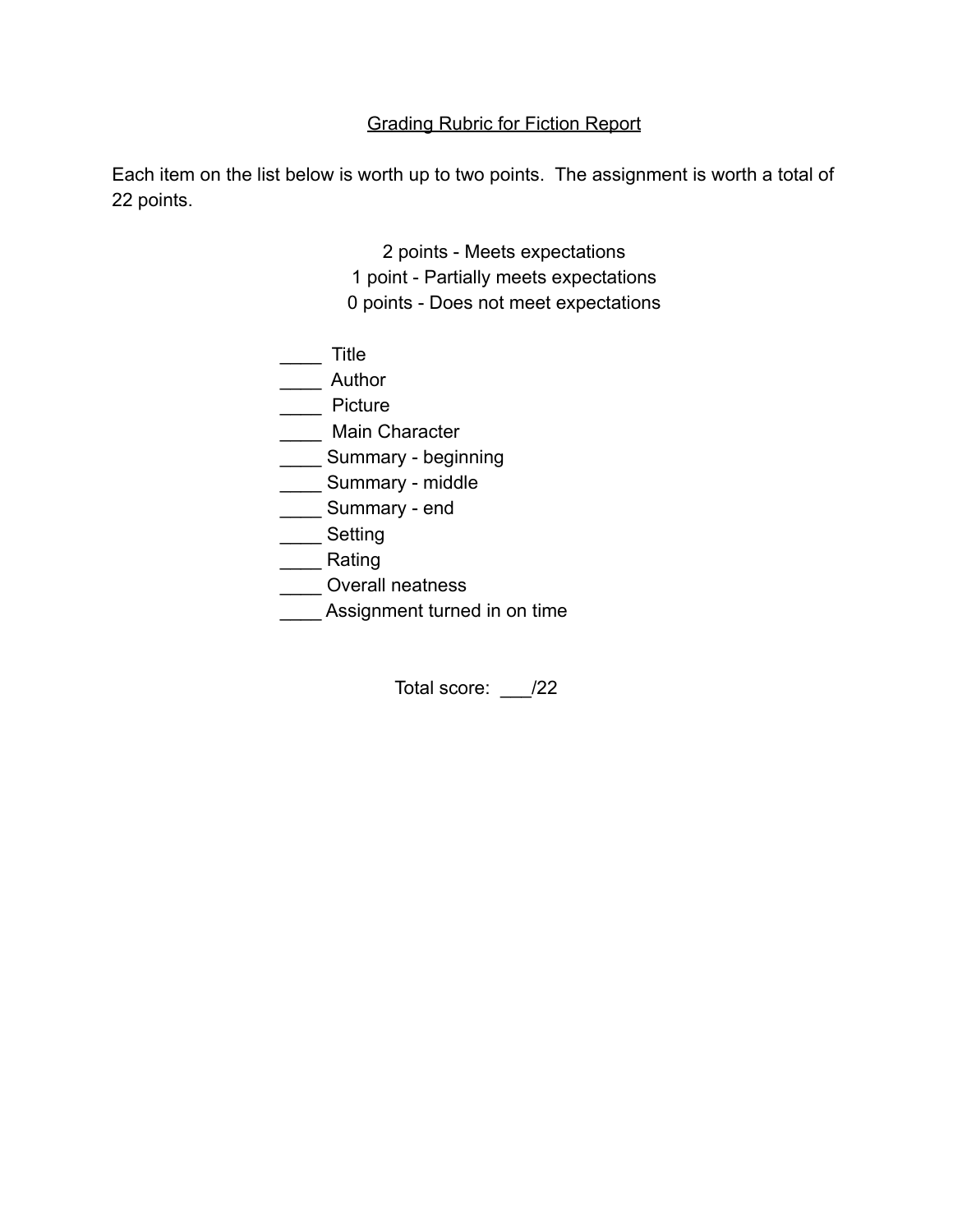# Grading Rubric for Fiction Report

Each item on the list below is worth up to two points. The assignment is worth a total of 22 points.

> 2 points - Meets expectations 1 point - Partially meets expectations 0 points - Does not meet expectations

| Title                        |
|------------------------------|
| Author                       |
| Picture                      |
| Main Character               |
| Summary - beginning          |
| Summary - middle             |
| Summary - end                |
| Setting                      |
| Rating                       |
| <b>Overall neatness</b>      |
| Assignment turned in on time |

Total score: \_\_\_/22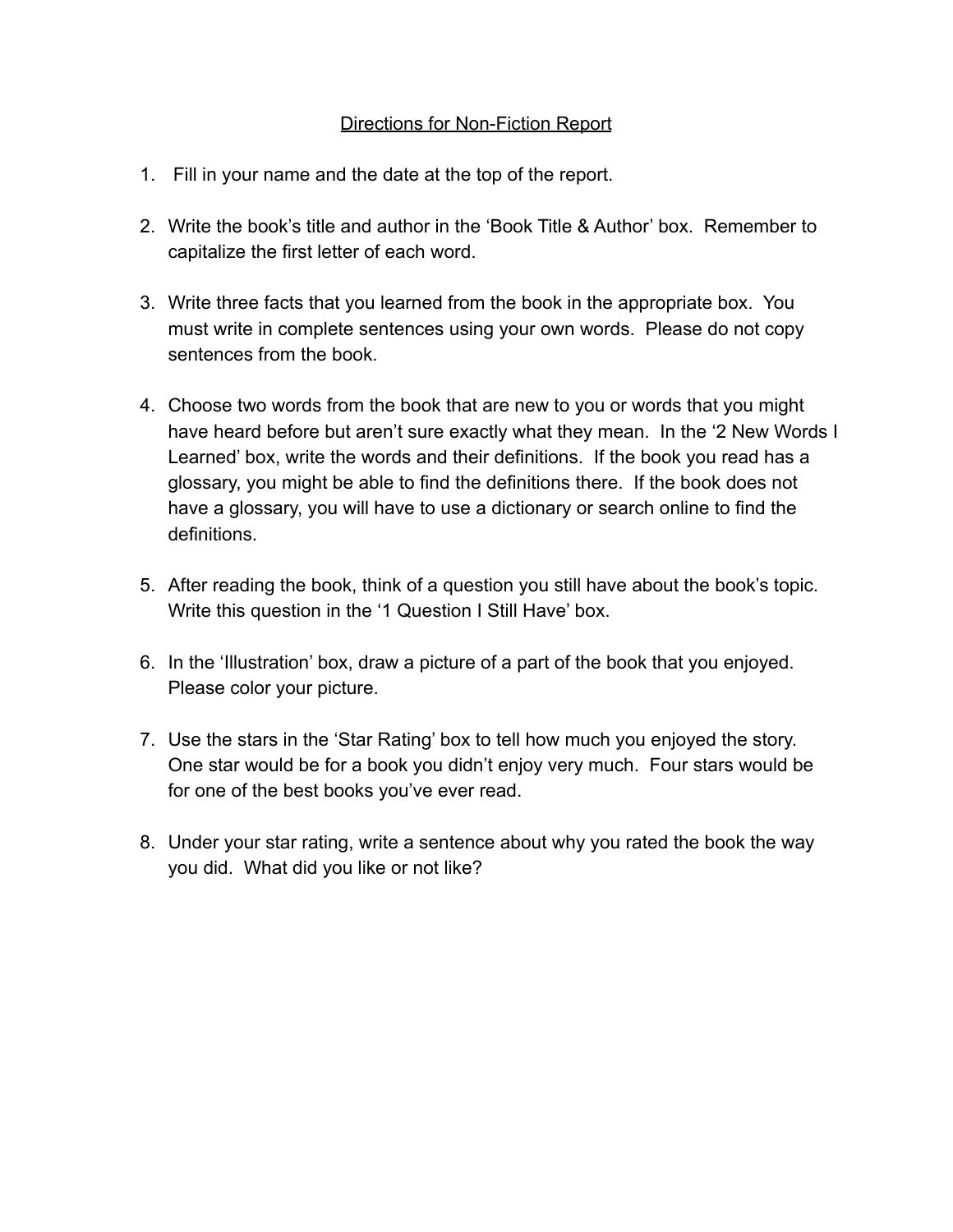### Directions for Non-Fiction Report

- 1. Fill in your name and the date at the top of the report.
- 2. Write the book's title and author in the 'Book Title & Author' box. Remember to capitalize the first letter of each word.
- 3. Write three facts that you learned from the book in the appropriate box. You must write in complete sentences using your own words. Please do not copy sentences from the book.
- 4. Choose two words from the book that are new to you or words that you might have heard before but aren't sure exactly what they mean. In the '2 New Words I Learned' box, write the words and their definitions. If the book you read has a glossary, you might be able to find the definitions there. If the book does not have a glossary, you will have to use a dictionary or search online to find the definitions.
- 5. After reading the book, think of a question you still have about the book's topic. Write this question in the '1 Question I Still Have' box.
- 6. In the 'Illustration' box, draw a picture of a part of the book that you enjoyed. Please color your picture.
- 7. Use the stars in the 'Star Rating' box to tell how much you enjoyed the story. One star would be for a book you didn't enjoy very much. Four stars would be for one of the best books you've ever read.
- 8. Under your star rating, write a sentence about why you rated the book the way you did. What did you like or not like?